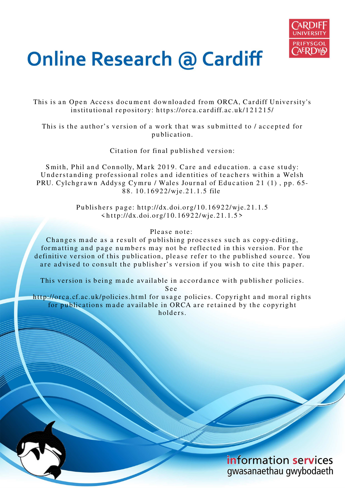

# **Online Research @ Cardiff**

This is an Open Access document downloaded from ORCA, Cardiff University's institutional repository: https://orca.cardiff.ac.uk/121215/

This is the author's version of a work that was submitted to / accepted for p u blication.

Citation for final published version:

Smith, Phil and Connolly, Mark 2019. Care and education. a case study: Understanding professional roles and identities of teachers within a Welsh PRU. Cylchgrawn Addysg Cymru / Wales Journal of Education 21 (1), pp. 65-88. 10.16922/wje.21.1.5 file

> Publishers page: http://dx.doi.org/10.16922/wje.21.1.5  $\frac{\sinh(t) - \sinh(t)}{2}$  \the http://dx.doi.org/10.16922/wje.21.1.5>

> > Please note:

Changes made as a result of publishing processes such as copy-editing, formatting and page numbers may not be reflected in this version. For the definitive version of this publication, please refer to the published source. You are advised to consult the publisher's version if you wish to cite this paper.

This version is being made available in accordance with publisher policies.

S e e

http://orca.cf.ac.uk/policies.html for usage policies. Copyright and moral rights for publications made available in ORCA are retained by the copyright holders

> information services gwasanaethau gwybodaeth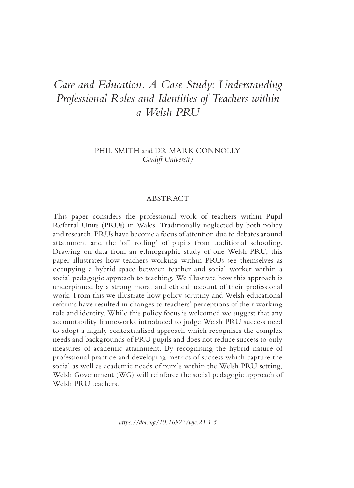# *Care and Education. A Case Study: Understanding Professional Roles and Identities of Teachers within a Welsh PRU*

# PHIL SMITH and DR MARK CONNOLLY *Cardiff University*

#### ABSTRACT

This paper considers the professional work of teachers within Pupil Referral Units (PRUs) in Wales. Traditionally neglected by both policy and research, PRUs have become a focus of attention due to debates around attainment and the 'off rolling' of pupils from traditional schooling. Drawing on data from an ethnographic study of one Welsh PRU, this paper illustrates how teachers working within PRUs see themselves as occupying a hybrid space between teacher and social worker within a social pedagogic approach to teaching. We illustrate how this approach is underpinned by a strong moral and ethical account of their professional work. From this we illustrate how policy scrutiny and Welsh educational reforms have resulted in changes to teachers' perceptions of their working role and identity. While this policy focus is welcomed we suggest that any accountability frameworks introduced to judge Welsh PRU success need to adopt a highly contextualised approach which recognises the complex needs and backgrounds of PRU pupils and does not reduce success to only measures of academic attainment. By recognising the hybrid nature of professional practice and developing metrics of success which capture the social as well as academic needs of pupils within the Welsh PRU setting, Welsh Government (WG) will reinforce the social pedagogic approach of Welsh PRU teachers.

*https://doi.org/10.16922/wje.21.1.5*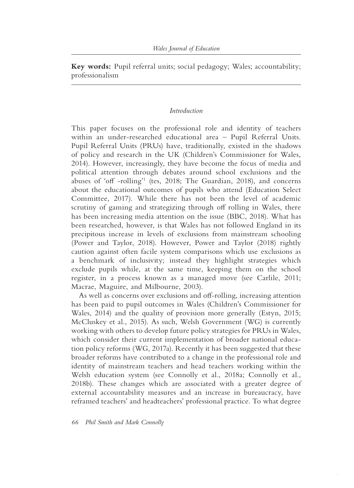**Key words:** Pupil referral units; social pedagogy; Wales; accountability; professionalism

### *Introduction*

This paper focuses on the professional role and identity of teachers within an under-researched educational area - Pupil Referral Units. Pupil Referral Units (PRUs) have, traditionally, existed in the shadows of policy and research in the UK (Children's Commissioner for Wales, 2014). However, increasingly, they have become the focus of media and political attention through debates around school exclusions and the abuses of 'off -rolling'<sup>1</sup> (tes, 2018; The Guardian, 2018), and concerns about the educational outcomes of pupils who attend (Education Select Committee, 2017). While there has not been the level of academic scrutiny of gaming and strategizing through off rolling in Wales, there has been increasing media attention on the issue (BBC, 2018). What has been researched, however, is that Wales has not followed England in its precipitous increase in levels of exclusions from mainstream schooling (Power and Taylor, 2018). However, Power and Taylor (2018) rightly caution against often facile system comparisons which use exclusions as a benchmark of inclusivity; instead they highlight strategies which exclude pupils while, at the same time, keeping them on the school register, in a process known as a managed move (see Carlile, 2011; Macrae, Maguire, and Milbourne, 2003).

As well as concerns over exclusions and off-rolling, increasing attention has been paid to pupil outcomes in Wales (Children's Commissioner for Wales, 2014) and the quality of provision more generally (Estyn, 2015; McCluskey et al., 2015). As such, Welsh Government (WG) is currently working with others to develop future policy strategies for PRUs in Wales, which consider their current implementation of broader national education policy reforms (WG, 2017a). Recently it has been suggested that these broader reforms have contributed to a change in the professional role and identity of mainstream teachers and head teachers working within the Welsh education system (see Connolly et al., 2018a; Connolly et al., 2018b). These changes which are associated with a greater degree of external accountability measures and an increase in bureaucracy, have reframed teachers' and headteachers' professional practice. To what degree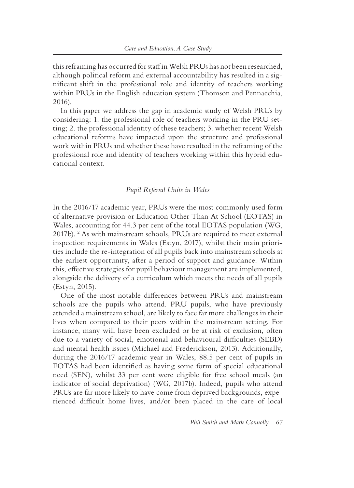this reframing has occurred for staff in Welsh PRUs has not been researched, although political reform and external accountability has resulted in a significant shift in the professional role and identity of teachers working within PRUs in the English education system (Thomson and Pennacchia, 2016).

In this paper we address the gap in academic study of Welsh PRUs by considering: 1. the professional role of teachers working in the PRU setting; 2. the professional identity of these teachers; 3. whether recent Welsh educational reforms have impacted upon the structure and professional work within PRUs and whether these have resulted in the reframing of the professional role and identity of teachers working within this hybrid educational context.

#### *Pupil Referral Units in Wales*

In the 2016/17 academic year, PRUs were the most commonly used form of alternative provision or Education Other Than At School (EOTAS) in Wales, accounting for 44.3 per cent of the total EOTAS population (WG, 2017b). <sup>2</sup> As with mainstream schools, PRUs are required to meet external inspection requirements in Wales (Estyn, 2017), whilst their main priorities include the re- integration of all pupils back into mainstream schools at the earliest opportunity, after a period of support and guidance. Within this, effective strategies for pupil behaviour management are implemented, alongside the delivery of a curriculum which meets the needs of all pupils (Estyn, 2015).

One of the most notable differences between PRUs and mainstream schools are the pupils who attend. PRU pupils, who have previously attended a mainstream school, are likely to face far more challenges in their lives when compared to their peers within the mainstream setting. For instance, many will have been excluded or be at risk of exclusion, often due to a variety of social, emotional and behavioural difficulties (SEBD) and mental health issues (Michael and Frederickson, 2013). Additionally, during the 2016/17 academic year in Wales, 88.5 per cent of pupils in EOTAS had been identified as having some form of special educational need (SEN), whilst 33 per cent were eligible for free school meals (an indicator of social deprivation) (WG, 2017b). Indeed, pupils who attend PRUs are far more likely to have come from deprived backgrounds, experienced difficult home lives, and/or been placed in the care of local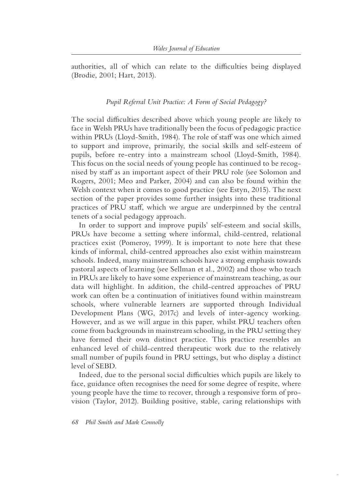authorities, all of which can relate to the difficulties being displayed (Brodie, 2001; Hart, 2013).

# *Pupil Referral Unit Practice: A Form of Social Pedagogy?*

The social difficulties described above which young people are likely to face in Welsh PRUs have traditionally been the focus of pedagogic practice within PRUs (Lloyd-Smith, 1984). The role of staff was one which aimed to support and improve, primarily, the social skills and self-esteem of pupils, before re-entry into a mainstream school (Lloyd-Smith, 1984). This focus on the social needs of young people has continued to be recognised by staff as an important aspect of their PRU role (see Solomon and Rogers, 2001; Meo and Parker, 2004) and can also be found within the Welsh context when it comes to good practice (see Estyn, 2015). The next section of the paper provides some further insights into these traditional practices of PRU staff, which we argue are underpinned by the central tenets of a social pedagogy approach.

In order to support and improve pupils' self-esteem and social skills, PRUs have become a setting where informal, child- centred, relational practices exist (Pomeroy, 1999). It is important to note here that these kinds of informal, child- centred approaches also exist within mainstream schools. Indeed, many mainstream schools have a strong emphasis towards pastoral aspects of learning (see Sellman et al., 2002) and those who teach in PRUs are likely to have some experience of mainstream teaching, as our data will highlight. In addition, the child- centred approaches of PRU work can often be a continuation of initiatives found within mainstream schools, where vulnerable learners are supported through Individual Development Plans (WG, 2017c) and levels of inter-agency working. However, and as we will argue in this paper, whilst PRU teachers often come from backgrounds in mainstream schooling, in the PRU setting they have formed their own distinct practice. This practice resembles an enhanced level of child- centred therapeutic work due to the relatively small number of pupils found in PRU settings, but who display a distinct level of SEBD.

Indeed, due to the personal social difficulties which pupils are likely to face, guidance often recognises the need for some degree of respite, where young people have the time to recover, through a responsive form of provision (Taylor, 2012). Building positive, stable, caring relationships with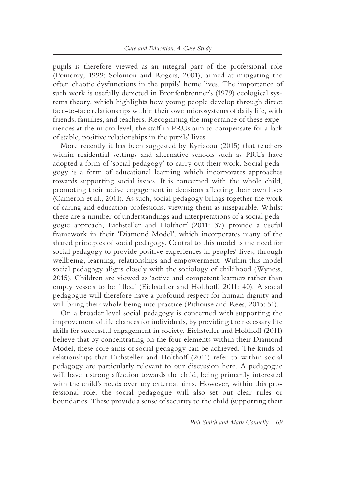pupils is therefore viewed as an integral part of the professional role (Pomeroy, 1999; Solomon and Rogers, 2001), aimed at mitigating the often chaotic dysfunctions in the pupils' home lives. The importance of such work is usefully depicted in Bronfenbrenner's (1979) ecological systems theory, which highlights how young people develop through direct face- to- face relationships within their own microsystems of daily life, with friends, families, and teachers. Recognising the importance of these experiences at the micro level, the staff in PRUs aim to compensate for a lack of stable, positive relationships in the pupils' lives.

More recently it has been suggested by Kyriacou (2015) that teachers within residential settings and alternative schools such as PRUs have adopted a form of 'social pedagogy' to carry out their work. Social pedagogy is a form of educational learning which incorporates approaches towards supporting social issues. It is concerned with the whole child, promoting their active engagement in decisions affecting their own lives (Cameron et al., 2011). As such, social pedagogy brings together the work of caring and education professions, viewing them as inseparable. Whilst there are a number of understandings and interpretations of a social pedagogic approach, Eichsteller and Holthoff (2011: 37) provide a useful framework in their 'Diamond Model', which incorporates many of the shared principles of social pedagogy. Central to this model is the need for social pedagogy to provide positive experiences in peoples' lives, through wellbeing, learning, relationships and empowerment. Within this model social pedagogy aligns closely with the sociology of childhood (Wyness, 2015). Children are viewed as 'active and competent learners rather than empty vessels to be filled' (Eichsteller and Holthoff, 2011: 40). A social pedagogue will therefore have a profound respect for human dignity and will bring their whole being into practice (Pithouse and Rees, 2015: 51).

On a broader level social pedagogy is concerned with supporting the improvement of life chances for individuals, by providing the necessary life skills for successful engagement in society. Eichsteller and Holthoff (2011) believe that by concentrating on the four elements within their Diamond Model, these core aims of social pedagogy can be achieved. The kinds of relationships that Eichsteller and Holthoff (2011) refer to within social pedagogy are particularly relevant to our discussion here. A pedagogue will have a strong affection towards the child, being primarily interested with the child's needs over any external aims. However, within this professional role, the social pedagogue will also set out clear rules or boundaries. These provide a sense of security to the child (supporting their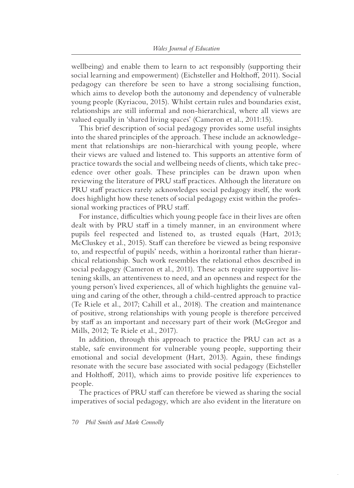wellbeing) and enable them to learn to act responsibly (supporting their social learning and empowerment) (Eichsteller and Holthoff, 2011). Social pedagogy can therefore be seen to have a strong socialising function, which aims to develop both the autonomy and dependency of vulnerable young people (Kyriacou, 2015). Whilst certain rules and boundaries exist, relationships are still informal and non- hierarchical, where all views are valued equally in 'shared living spaces' (Cameron et al., 2011:15).

This brief description of social pedagogy provides some useful insights into the shared principles of the approach. These include an acknowledgement that relationships are non-hierarchical with young people, where their views are valued and listened to. This supports an attentive form of practice towards the social and wellbeing needs of clients, which take precedence over other goals. These principles can be drawn upon when reviewing the literature of PRU staff practices. Although the literature on PRU staff practices rarely acknowledges social pedagogy itself, the work does highlight how these tenets of social pedagogy exist within the professional working practices of PRU staff.

For instance, difficulties which young people face in their lives are often dealt with by PRU staff in a timely manner, in an environment where pupils feel respected and listened to, as trusted equals (Hart, 2013; McCluskey et al., 2015). Staff can therefore be viewed as being responsive to, and respectful of pupils' needs, within a horizontal rather than hierarchical relationship. Such work resembles the relational ethos described in social pedagogy (Cameron et al., 2011). These acts require supportive listening skills, an attentiveness to need, and an openness and respect for the young person's lived experiences, all of which highlights the genuine valuing and caring of the other, through a child- centred approach to practice (Te Riele et al., 2017; Cahill et al., 2018). The creation and maintenance of positive, strong relationships with young people is therefore perceived by staff as an important and necessary part of their work (McGregor and Mills, 2012; Te Riele et al., 2017).

In addition, through this approach to practice the PRU can act as a stable, safe environment for vulnerable young people, supporting their emotional and social development (Hart, 2013). Again, these findings resonate with the secure base associated with social pedagogy (Eichsteller and Holthoff, 2011), which aims to provide positive life experiences to people.

The practices of PRU staff can therefore be viewed as sharing the social imperatives of social pedagogy, which are also evident in the literature on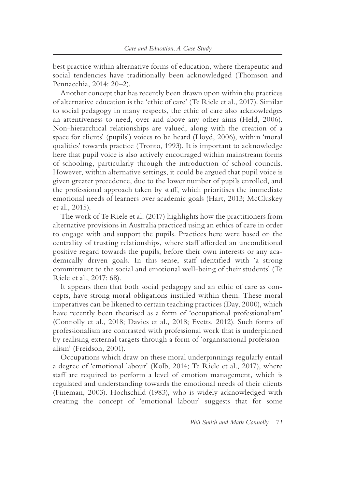best practice within alternative forms of education, where therapeutic and social tendencies have traditionally been acknowledged (Thomson and Pennacchia, 2014: 20–2).

Another concept that has recently been drawn upon within the practices of alternative education is the 'ethic of care' (Te Riele et al., 2017). Similar to social pedagogy in many respects, the ethic of care also acknowledges an attentiveness to need, over and above any other aims (Held, 2006). Non- hierarchical relationships are valued, along with the creation of a space for clients' (pupils') voices to be heard (Lloyd, 2006), within 'moral qualities' towards practice (Tronto, 1993). It is important to acknowledge here that pupil voice is also actively encouraged within mainstream forms of schooling, particularly through the introduction of school councils. However, within alternative settings, it could be argued that pupil voice is given greater precedence, due to the lower number of pupils enrolled, and the professional approach taken by staff, which prioritises the immediate emotional needs of learners over academic goals (Hart, 2013; McCluskey et al., 2015).

The work of Te Riele et al. (2017) highlights how the practitioners from alternative provisions in Australia practiced using an ethics of care in order to engage with and support the pupils. Practices here were based on the centrality of trusting relationships, where staff afforded an unconditional positive regard towards the pupils, before their own interests or any academically driven goals. In this sense, staff identified with 'a strong commitment to the social and emotional well- being of their students' (Te Riele et al., 2017: 68).

It appears then that both social pedagogy and an ethic of care as concepts, have strong moral obligations instilled within them. These moral imperatives can be likened to certain teaching practices (Day, 2000), which have recently been theorised as a form of 'occupational professionalism' (Connolly et al., 2018; Davies et al., 2018; Evetts, 2012). Such forms of professionalism are contrasted with professional work that is underpinned by realising external targets through a form of 'organisational professionalism' (Freidson, 2001).

Occupations which draw on these moral underpinnings regularly entail a degree of 'emotional labour' (Kolb, 2014; Te Riele et al., 2017), where staff are required to perform a level of emotion management, which is regulated and understanding towards the emotional needs of their clients (Fineman, 2003). Hochschild (1983), who is widely acknowledged with creating the concept of 'emotional labour' suggests that for some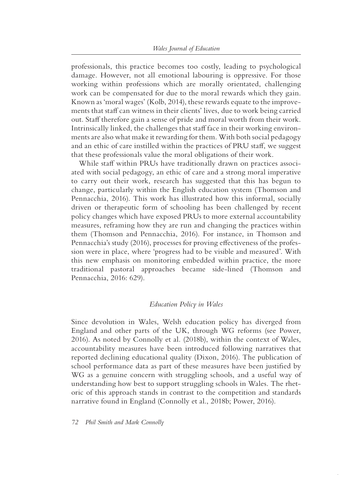professionals, this practice becomes too costly, leading to psychological damage. However, not all emotional labouring is oppressive. For those working within professions which are morally orientated, challenging work can be compensated for due to the moral rewards which they gain. Known as 'moral wages' (Kolb, 2014), these rewards equate to the improvements that staff can witness in their clients' lives, due to work being carried out. Staff therefore gain a sense of pride and moral worth from their work. Intrinsically linked, the challenges that staff face in their working environments are also what make it rewarding for them. With both social pedagogy and an ethic of care instilled within the practices of PRU staff, we suggest that these professionals value the moral obligations of their work.

While staff within PRUs have traditionally drawn on practices associated with social pedagogy, an ethic of care and a strong moral imperative to carry out their work, research has suggested that this has begun to change, particularly within the English education system (Thomson and Pennacchia, 2016). This work has illustrated how this informal, socially driven or therapeutic form of schooling has been challenged by recent policy changes which have exposed PRUs to more external accountability measures, reframing how they are run and changing the practices within them (Thomson and Pennacchia, 2016). For instance, in Thomson and Pennacchia's study (2016), processes for proving effectiveness of the profession were in place, where 'progress had to be visible and measured'. With this new emphasis on monitoring embedded within practice, the more traditional pastoral approaches became side- lined (Thomson and Pennacchia, 2016: 629).

# *Education Policy in Wales*

Since devolution in Wales, Welsh education policy has diverged from England and other parts of the UK, through WG reforms (see Power, 2016). As noted by Connolly et al. (2018b), within the context of Wales, accountability measures have been introduced following narratives that reported declining educational quality (Dixon, 2016). The publication of school performance data as part of these measures have been justified by WG as a genuine concern with struggling schools, and a useful way of understanding how best to support struggling schools in Wales. The rhetoric of this approach stands in contrast to the competition and standards narrative found in England (Connolly et al., 2018b; Power, 2016).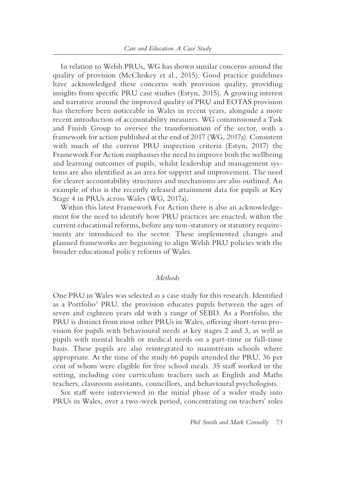In relation to Welsh PRUs, WG has shown similar concerns around the quality of provision (McCluskey et al., 2015). Good practice guidelines have acknowledged these concerns with provision quality, providing insights from specific PRU case studies (Estyn, 2015). A growing interest and narrative around the improved quality of PRU and EOTAS provision has therefore been noticeable in Wales in recent years, alongside a more recent introduction of accountability measures. WG commissioned a Task and Finish Group to oversee the transformation of the sector, with a framework for action published at the end of 2017 (WG, 2017a). Consistent with much of the current PRU inspection criteria (Estyn, 2017) the Framework For Action emphasises the need to improve both the wellbeing and learning outcomes of pupils, whilst leadership and management systems are also identified as an area for support and improvement. The need for clearer accountability structures and mechanisms are also outlined. An example of this is the recently released attainment data for pupils at Key Stage 4 in PRUs across Wales (WG, 2017a).

Within this latest Framework For Action there is also an acknowledgement for the need to identify how PRU practices are enacted, within the current educational reforms, before any non- statutory or statutory requirements are introduced to the sector. These implemented changes and planned frameworks are beginning to align Welsh PRU policies with the broader educational policy reforms of Wales.

#### *Methods*

One PRU in Wales was selected as a case study for this research. Identified as a Portfolio<sup>3</sup> PRU, the provision educates pupils between the ages of seven and eighteen years old with a range of SEBD. As a Portfolio, the PRU is distinct from most other PRUs in Wales, offering short- term provision for pupils with behavioural needs at key stages 2 and 3, as well as pupils with mental health or medical needs on a part-time or full-time basis. These pupils are also reintegrated to mainstream schools where appropriate. At the time of the study 66 pupils attended the PRU, 36 per cent of whom were eligible for free school meals. 35 staff worked in the setting, including core curriculum teachers such as English and Maths teachers, classroom assistants, councillors, and behavioural psychologists.

Six staff were interviewed in the initial phase of a wider study into PRUs in Wales, over a two- week period, concentrating on teachers' roles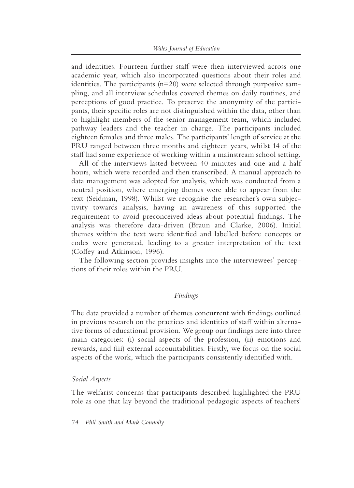and identities. Fourteen further staff were then interviewed across one academic year, which also incorporated questions about their roles and identities. The participants (n=20) were selected through purposive sampling, and all interview schedules covered themes on daily routines, and perceptions of good practice. To preserve the anonymity of the participants, their specific roles are not distinguished within the data, other than to highlight members of the senior management team, which included pathway leaders and the teacher in charge. The participants included eighteen females and three males. The participants' length of service at the PRU ranged between three months and eighteen years, whilst 14 of the staff had some experience of working within a mainstream school setting.

All of the interviews lasted between 40 minutes and one and a half hours, which were recorded and then transcribed. A manual approach to data management was adopted for analysis, which was conducted from a neutral position, where emerging themes were able to appear from the text (Seidman, 1998). Whilst we recognise the researcher's own subjectivity towards analysis, having an awareness of this supported the requirement to avoid preconceived ideas about potential findings. The analysis was therefore data-driven (Braun and Clarke, 2006). Initial themes within the text were identified and labelled before concepts or codes were generated, leading to a greater interpretation of the text (Coffey and Atkinson, 1996).

The following section provides insights into the interviewees' perceptions of their roles within the PRU.

#### *Findings*

The data provided a number of themes concurrent with findings outlined in previous research on the practices and identities of staff within alternative forms of educational provision. We group our findings here into three main categories: (i) social aspects of the profession, (ii) emotions and rewards, and (iii) external accountabilities. Firstly, we focus on the social aspects of the work, which the participants consistently identified with.

#### *Social Aspects*

The welfarist concerns that participants described highlighted the PRU role as one that lay beyond the traditional pedagogic aspects of teachers'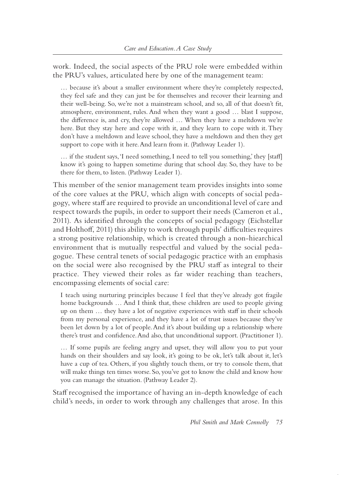work. Indeed, the social aspects of the PRU role were embedded within the PRU's values, articulated here by one of the management team:

… because it's about a smaller environment where they're completely respected, they feel safe and they can just be for themselves and recover their learning and their well-being. So, we're not a mainstream school, and so, all of that doesn't fit, atmosphere, environment, rules. And when they want a good … blast I suppose, the difference is, and cry, they're allowed … When they have a meltdown we're here. But they stay here and cope with it, and they learn to cope with it. They don't have a meltdown and leave school, they have a meltdown and then they get support to cope with it here. And learn from it. (Pathway Leader 1).

… if the student says, 'I need something, I need to tell you something,' they [staff] know it's going to happen sometime during that school day. So, they have to be there for them, to listen. (Pathway Leader 1).

This member of the senior management team provides insights into some of the core values at the PRU, which align with concepts of social pedagogy, where staff are required to provide an unconditional level of care and respect towards the pupils, in order to support their needs (Cameron et al., 2011). As identified through the concepts of social pedagogy (Eichstellar and Holthoff, 2011) this ability to work through pupils' difficulties requires a strong positive relationship, which is created through a non-hiearchical environment that is mutually respectful and valued by the social pedagogue. These central tenets of social pedagogic practice with an emphasis on the social were also recognised by the PRU staff as integral to their practice. They viewed their roles as far wider reaching than teachers, encompassing elements of social care:

I teach using nurturing principles because I feel that they've already got fragile home backgrounds … And I think that, these children are used to people giving up on them … they have a lot of negative experiences with staff in their schools from my personal experience, and they have a lot of trust issues because they've been let down by a lot of people. And it's about building up a relationship where there's trust and confidence. And also, that unconditional support. (Practitioner 1).

… If some pupils are feeling angry and upset, they will allow you to put your hands on their shoulders and say look, it's going to be ok, let's talk about it, let's have a cup of tea. Others, if you slightly touch them, or try to console them, that will make things ten times worse. So, you've got to know the child and know how you can manage the situation. (Pathway Leader 2).

Staff recognised the importance of having an in- depth knowledge of each child's needs, in order to work through any challenges that arose. In this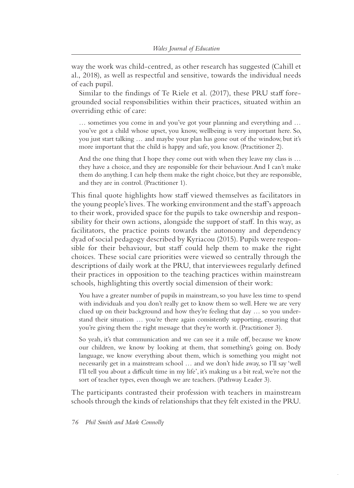way the work was child- centred, as other research has suggested (Cahill et al., 2018), as well as respectful and sensitive, towards the individual needs of each pupil.

Similar to the findings of Te Riele et al. (2017), these PRU staff foregrounded social responsibilities within their practices, situated within an overriding ethic of care:

… sometimes you come in and you've got your planning and everything and … you've got a child whose upset, you know, wellbeing is very important here. So, you just start talking … and maybe your plan has gone out of the window, but it's more important that the child is happy and safe, you know. (Practitioner 2).

And the one thing that I hope they come out with when they leave my class is ... they have a choice, and they are responsible for their behaviour. And I can't make them do anything. I can help them make the right choice, but they are responsible, and they are in control. (Practitioner 1).

This final quote highlights how staff viewed themselves as facilitators in the young people's lives. The working environment and the staff's approach to their work, provided space for the pupils to take ownership and responsibility for their own actions, alongside the support of staff. In this way, as facilitators, the practice points towards the autonomy and dependency dyad of social pedagogy described by Kyriacou (2015). Pupils were responsible for their behaviour, but staff could help them to make the right choices. These social care priorities were viewed so centrally through the descriptions of daily work at the PRU, that interviewees regularly defined their practices in opposition to the teaching practices within mainstream schools, highlighting this overtly social dimension of their work:

You have a greater number of pupils in mainstream, so you have less time to spend with individuals and you don't really get to know them so well. Here we are very clued up on their background and how they're feeling that day … so you understand their situation … you're there again consistently supporting, ensuring that you're giving them the right message that they're worth it. (Practitioner 3).

So yeah, it's that communication and we can see it a mile off, because we know our children, we know by looking at them, that something's going on. Body language, we know everything about them, which is something you might not necessarily get in a mainstream school … and we don't hide away, so I'll say 'well I'll tell you about a difficult time in my life', it's making us a bit real, we're not the sort of teacher types, even though we are teachers. (Pathway Leader 3).

The participants contrasted their profession with teachers in mainstream schools through the kinds of relationships that they felt existed in the PRU.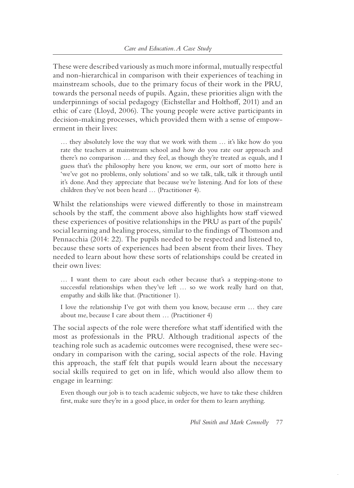These were described variously as much more informal, mutually respectful and non- hierarchical in comparison with their experiences of teaching in mainstream schools, due to the primary focus of their work in the PRU, towards the personal needs of pupils. Again, these priorities align with the underpinnings of social pedagogy (Eichstellar and Holthoff, 2011) and an ethic of care (Lloyd, 2006). The young people were active participants in decision-making processes, which provided them with a sense of empowerment in their lives:

… they absolutely love the way that we work with them … it's like how do you rate the teachers at mainstream school and how do you rate our approach and there's no comparison … and they feel, as though they're treated as equals, and I guess that's the philosophy here you know, we erm, our sort of motto here is 'we've got no problems, only solutions' and so we talk, talk, talk it through until it's done. And they appreciate that because we're listening. And for lots of these children they've not been heard … (Practitioner 4).

Whilst the relationships were viewed differently to those in mainstream schools by the staff, the comment above also highlights how staff viewed these experiences of positive relationships in the PRU as part of the pupils' social learning and healing process, similar to the findings of Thomson and Pennacchia (2014: 22). The pupils needed to be respected and listened to, because these sorts of experiences had been absent from their lives. They needed to learn about how these sorts of relationships could be created in their own lives:

... I want them to care about each other because that's a stepping-stone to successful relationships when they've left … so we work really hard on that, empathy and skills like that. (Practitioner 1).

I love the relationship I've got with them you know, because erm … they care about me, because I care about them … (Practitioner 4)

The social aspects of the role were therefore what staff identified with the most as professionals in the PRU. Although traditional aspects of the teaching role such as academic outcomes were recognised, these were secondary in comparison with the caring, social aspects of the role. Having this approach, the staff felt that pupils would learn about the necessary social skills required to get on in life, which would also allow them to engage in learning:

Even though our job is to teach academic subjects, we have to take these children first, make sure they're in a good place, in order for them to learn anything.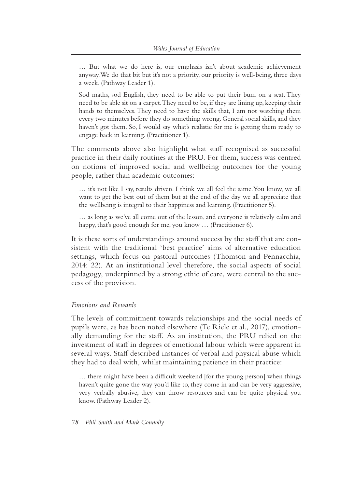… But what we do here is, our emphasis isn't about academic achievement anyway. We do that bit but it's not a priority, our priority is well-being, three days a week. (Pathway Leader 1).

Sod maths, sod English, they need to be able to put their bum on a seat. They need to be able sit on a carpet. They need to be, if they are lining up, keeping their hands to themselves. They need to have the skills that, I am not watching them every two minutes before they do something wrong. General social skills, and they haven't got them. So, I would say what's realistic for me is getting them ready to engage back in learning. (Practitioner 1).

The comments above also highlight what staff recognised as successful practice in their daily routines at the PRU. For them, success was centred on notions of improved social and wellbeing outcomes for the young people, rather than academic outcomes:

… it's not like I say, results driven. I think we all feel the same. You know, we all want to get the best out of them but at the end of the day we all appreciate that the wellbeing is integral to their happiness and learning. (Practitioner 5).

… as long as we've all come out of the lesson, and everyone is relatively calm and happy, that's good enough for me, you know ... (Practitioner 6).

It is these sorts of understandings around success by the staff that are consistent with the traditional 'best practice' aims of alternative education settings, which focus on pastoral outcomes (Thomson and Pennacchia, 2014: 22). At an institutional level therefore, the social aspects of social pedagogy, underpinned by a strong ethic of care, were central to the success of the provision.

#### *Emotions and Rewards*

The levels of commitment towards relationships and the social needs of pupils were, as has been noted elsewhere (Te Riele et al., 2017), emotionally demanding for the staff. As an institution, the PRU relied on the investment of staff in degrees of emotional labour which were apparent in several ways. Staff described instances of verbal and physical abuse which they had to deal with, whilst maintaining patience in their practice:

… there might have been a difficult weekend [for the young person] when things haven't quite gone the way you'd like to, they come in and can be very aggressive, very verbally abusive, they can throw resources and can be quite physical you know. (Pathway Leader 2).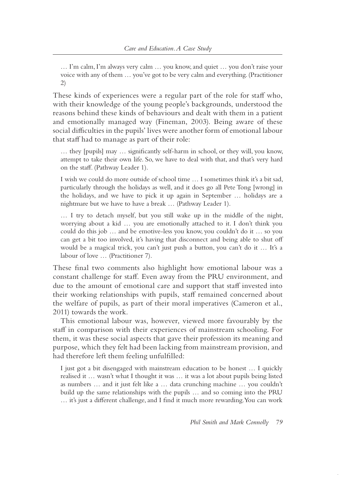… I'm calm, I'm always very calm … you know, and quiet … you don't raise your voice with any of them … you've got to be very calm and everything. (Practitioner 2)

These kinds of experiences were a regular part of the role for staff who, with their knowledge of the young people's backgrounds, understood the reasons behind these kinds of behaviours and dealt with them in a patient and emotionally managed way (Fineman, 2003). Being aware of these social difficulties in the pupils' lives were another form of emotional labour that staff had to manage as part of their role:

... they [pupils] may ... significantly self-harm in school, or they will, you know, attempt to take their own life. So, we have to deal with that, and that's very hard on the staff. (Pathway Leader 1).

I wish we could do more outside of school time … I sometimes think it's a bit sad, particularly through the holidays as well, and it does go all Pete Tong [wrong] in the holidays, and we have to pick it up again in September … holidays are a nightmare but we have to have a break … (Pathway Leader 1).

… I try to detach myself, but you still wake up in the middle of the night, worrying about a kid … you are emotionally attached to it. I don't think you could do this job … and be emotive- less you know, you couldn't do it … so you can get a bit too involved, it's having that disconnect and being able to shut off would be a magical trick, you can't just push a button, you can't do it … It's a labour of love … (Practitioner 7).

These final two comments also highlight how emotional labour was a constant challenge for staff. Even away from the PRU environment, and due to the amount of emotional care and support that staff invested into their working relationships with pupils, staff remained concerned about the welfare of pupils, as part of their moral imperatives (Cameron et al., 2011) towards the work.

This emotional labour was, however, viewed more favourably by the staff in comparison with their experiences of mainstream schooling. For them, it was these social aspects that gave their profession its meaning and purpose, which they felt had been lacking from mainstream provision, and had therefore left them feeling unfulfilled:

I just got a bit disengaged with mainstream education to be honest … I quickly realised it … wasn't what I thought it was … it was a lot about pupils being listed as numbers … and it just felt like a … data crunching machine … you couldn't build up the same relationships with the pupils … and so coming into the PRU … it's just a different challenge, and I find it much more rewarding. You can work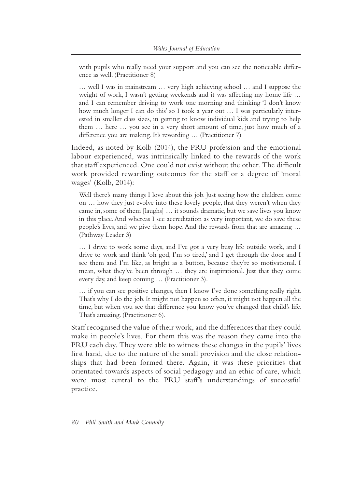with pupils who really need your support and you can see the noticeable difference as well. (Practitioner 8)

… well I was in mainstream … very high achieving school … and I suppose the weight of work, I wasn't getting weekends and it was affecting my home life … and I can remember driving to work one morning and thinking 'I don't know how much longer I can do this' so I took a year out ... I was particularly interested in smaller class sizes, in getting to know individual kids and trying to help them … here … you see in a very short amount of time, just how much of a difference you are making. It's rewarding … (Practitioner 7)

Indeed, as noted by Kolb (2014), the PRU profession and the emotional labour experienced, was intrinsically linked to the rewards of the work that staff experienced. One could not exist without the other. The difficult work provided rewarding outcomes for the staff or a degree of 'moral wages' (Kolb, 2014):

Well there's many things I love about this job. Just seeing how the children come on … how they just evolve into these lovely people, that they weren't when they came in, some of them [laughs] … it sounds dramatic, but we save lives you know in this place. And whereas I see accreditation as very important, we do save these people's lives, and we give them hope. And the rewards from that are amazing … (Pathway Leader 3)

… I drive to work some days, and I've got a very busy life outside work, and I drive to work and think 'oh god, I'm so tired,' and I get through the door and I see them and I'm like, as bright as a button, because they're so motivational. I mean, what they've been through … they are inspirational. Just that they come every day, and keep coming … (Practitioner 3).

… if you can see positive changes, then I know I've done something really right. That's why I do the job. It might not happen so often, it might not happen all the time, but when you see that difference you know you've changed that child's life. That's amazing. (Practitioner 6).

Staff recognised the value of their work, and the differences that they could make in people's lives. For them this was the reason they came into the PRU each day. They were able to witness these changes in the pupils' lives first hand, due to the nature of the small provision and the close relationships that had been formed there. Again, it was these priorities that orientated towards aspects of social pedagogy and an ethic of care, which were most central to the PRU staff's understandings of successful practice.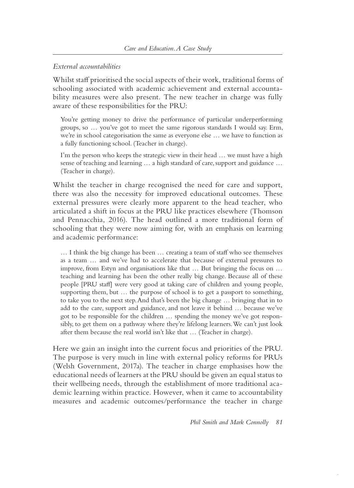# *External accountabilities*

Whilst staff prioritised the social aspects of their work, traditional forms of schooling associated with academic achievement and external accountability measures were also present. The new teacher in charge was fully aware of these responsibilities for the PRU:

You're getting money to drive the performance of particular underperforming groups, so … you've got to meet the same rigorous standards I would say. Erm, we're in school categorisation the same as everyone else … we have to function as a fully functioning school. (Teacher in charge).

I'm the person who keeps the strategic view in their head … we must have a high sense of teaching and learning … a high standard of care, support and guidance … (Teacher in charge).

Whilst the teacher in charge recognised the need for care and support, there was also the necessity for improved educational outcomes. These external pressures were clearly more apparent to the head teacher, who articulated a shift in focus at the PRU like practices elsewhere (Thomson and Pennacchia, 2016). The head outlined a more traditional form of schooling that they were now aiming for, with an emphasis on learning and academic performance:

… I think the big change has been … creating a team of staff who see themselves as a team … and we've had to accelerate that because of external pressures to improve, from Estyn and organisations like that … But bringing the focus on … teaching and learning has been the other really big change. Because all of these people [PRU staff] were very good at taking care of children and young people, supporting them, but … the purpose of school is to get a passport to something, to take you to the next step. And that's been the big change … bringing that in to add to the care, support and guidance, and not leave it behind … because we've got to be responsible for the children … spending the money we've got responsibly, to get them on a pathway where they're lifelong learners. We can't just look after them because the real world isn't like that … (Teacher in charge).

Here we gain an insight into the current focus and priorities of the PRU. The purpose is very much in line with external policy reforms for PRUs (Welsh Government, 2017a). The teacher in charge emphasises how the educational needs of learners at the PRU should be given an equal status to their wellbeing needs, through the establishment of more traditional academic learning within practice. However, when it came to accountability measures and academic outcomes/performance the teacher in charge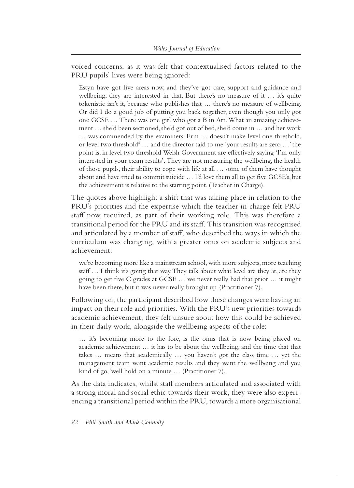voiced concerns, as it was felt that contextualised factors related to the PRU pupils' lives were being ignored:

Estyn have got five areas now, and they've got care, support and guidance and wellbeing, they are interested in that. But there's no measure of it ... it's quite tokenistic isn't it, because who publishes that … there's no measure of wellbeing. Or did I do a good job of putting you back together, even though you only got one GCSE … There was one girl who got a B in Art. What an amazing achievement … she'd been sectioned, she'd got out of bed, she'd come in … and her work … was commended by the examiners. Erm … doesn't make level one threshold, or level two threshold<sup>4</sup> ... and the director said to me 'your results are zero ...' the point is, in level two threshold Welsh Government are effectively saying 'I'm only interested in your exam results'. They are not measuring the wellbeing, the health of those pupils, their ability to cope with life at all … some of them have thought about and have tried to commit suicide … I'd love them all to get five GCSE's, but the achievement is relative to the starting point. (Teacher in Charge).

The quotes above highlight a shift that was taking place in relation to the PRU's priorities and the expertise which the teacher in charge felt PRU staff now required, as part of their working role. This was therefore a transitional period for the PRU and its staff. This transition was recognised and articulated by a member of staff, who described the ways in which the curriculum was changing, with a greater onus on academic subjects and achievement:

we're becoming more like a mainstream school, with more subjects, more teaching staff … I think it's going that way. They talk about what level are they at, are they going to get five C grades at GCSE … we never really had that prior … it might have been there, but it was never really brought up. (Practitioner 7).

Following on, the participant described how these changes were having an impact on their role and priorities. With the PRU's new priorities towards academic achievement, they felt unsure about how this could be achieved in their daily work, alongside the wellbeing aspects of the role:

… it's becoming more to the fore, is the onus that is now being placed on academic achievement … it has to be about the wellbeing, and the time that that takes … means that academically … you haven't got the class time … yet the management team want academic results and they want the wellbeing and you kind of go, 'well hold on a minute … (Practitioner 7).

As the data indicates, whilst staff members articulated and associated with a strong moral and social ethic towards their work, they were also experiencing a transitional period within the PRU, towards a more organisational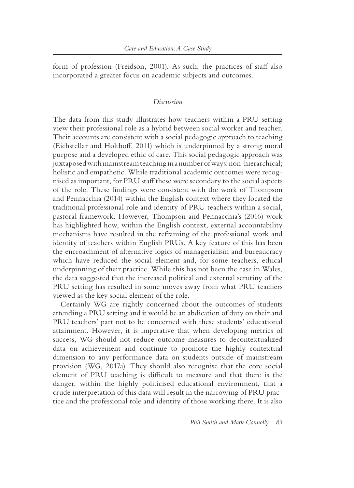form of profession (Freidson, 2001). As such, the practices of staff also incorporated a greater focus on academic subjects and outcomes.

#### *Discussion*

The data from this study illustrates how teachers within a PRU setting view their professional role as a hybrid between social worker and teacher. Their accounts are consistent with a social pedagogic approach to teaching (Eichstellar and Holthoff, 2011) which is underpinned by a strong moral purpose and a developed ethic of care. This social pedagogic approach was juxtaposed with mainstream teaching in a number of ways: non-hierarchical; holistic and empathetic. While traditional academic outcomes were recognised as important, for PRU staff these were secondary to the social aspects of the role. These findings were consistent with the work of Thompson and Pennacchia (2014) within the English context where they located the traditional professional role and identity of PRU teachers within a social, pastoral framework. However, Thompson and Pennacchia's (2016) work has highlighted how, within the English context, external accountability mechanisms have resulted in the reframing of the professional work and identity of teachers within English PRUs. A key feature of this has been the encroachment of alternative logics of managerialism and bureaucracy which have reduced the social element and, for some teachers, ethical underpinning of their practice. While this has not been the case in Wales, the data suggested that the increased political and external scrutiny of the PRU setting has resulted in some moves away from what PRU teachers viewed as the key social element of the role.

Certainly WG are rightly concerned about the outcomes of students attending a PRU setting and it would be an abdication of duty on their and PRU teachers' part not to be concerned with these students' educational attainment. However, it is imperative that when developing metrics of success, WG should not reduce outcome measures to decontextualized data on achievement and continue to promote the highly contextual dimension to any performance data on students outside of mainstream provision (WG, 2017a). They should also recognise that the core social element of PRU teaching is difficult to measure and that there is the danger, within the highly politicised educational environment, that a crude interpretation of this data will result in the narrowing of PRU practice and the professional role and identity of those working there. It is also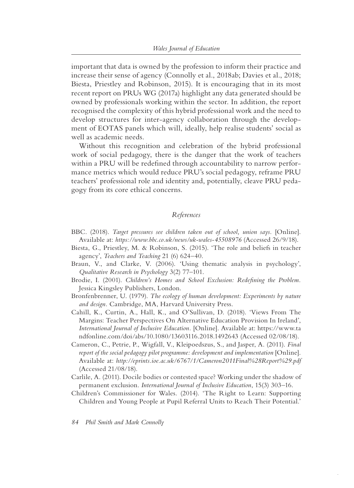important that data is owned by the profession to inform their practice and increase their sense of agency (Connolly et al., 2018ab; Davies et al., 2018; Biesta, Priestley and Robinson, 2015). It is encouraging that in its most recent report on PRUs WG (2017a) highlight any data generated should be owned by professionals working within the sector. In addition, the report recognised the complexity of this hybrid professional work and the need to develop structures for inter-agency collaboration through the development of EOTAS panels which will, ideally, help realise students' social as well as academic needs.

Without this recognition and celebration of the hybrid professional work of social pedagogy, there is the danger that the work of teachers within a PRU will be redefined through accountability to narrow performance metrics which would reduce PRU's social pedagogy, reframe PRU teachers' professional role and identity and, potentially, cleave PRU pedagogy from its core ethical concerns.

# *References*

- BBC. (2018). *Target pressures see children taken out of school, union says.* [Online]. Available at: *https://www.bbc.co.uk/news /uk- wales-45508976* (Accessed 26/9/18).
- Biesta, G., Priestley, M. & Robinson, S. (2015). 'The role and beliefs in teacher agency', *Teachers and Teaching* 21 (6) 624–40.
- Braun, V., and Clarke, V. (2006). 'Using thematic analysis in psychology', *Qualitative Research in Psychology* 3(2) 77–101.
- Brodie, I. (2001). *Children's Homes and School Exclusion: Redefining the Problem.*  Jessica Kingsley Publishers, London.
- Bronfenbrenner, U. (1979). *The ecology of human development: Experiments by nature and design.* Cambridge, MA, Harvard University Press.
- Cahill, K., Curtin, A., Hall, K., and O'Sullivan, D. (2018). 'Views From The Margins: Teacher Perspectives On Alternative Education Provision In Ireland', *International Journal of Inclusive Education.* [Online]. Available at: https://www.ta ndfonline.com/doi/abs/10.1080/13603116.2018.1492643 (Accessed 02/08/18).
- Cameron, C., Petrie, P., Wigfall, V., Kleipoedszus, S., and Jasper, A. (2011). *Final*  report of the social pedagogy pilot programme: development and implementation [Online]. Available at: *http://eprints.ioe.ac.uk/6767/1/Cameron2011Final%28Report%29.pdf* (Accessed 21/08/18).
- Carlile, A. (2011). Docile bodies or contested space? Working under the shadow of permanent exclusion. *International Journal of Inclusive Education*, 15(3) 303–16.
- Children's Commissioner for Wales. (2014). 'The Right to Learn: Supporting Children and Young People at Pupil Referral Units to Reach Their Potential.'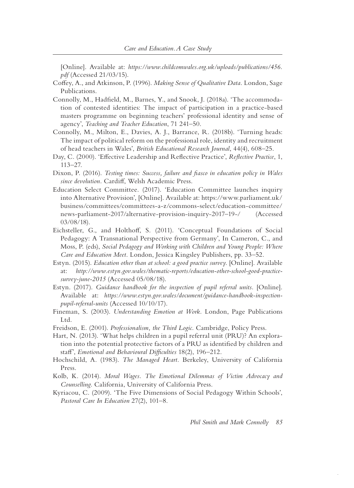[Online]. Available at: *https://www.childcomwales.org.uk/uploads/publications/456. pdf* (Accessed 21/03/15).

- Coffey, A., and Atkinson, P. (1996). *Making Sense of Qualitative Data.* London, Sage Publications.
- Connolly, M., Hadfield, M., Barnes, Y., and Snook, J. (2018a). 'The accommodation of contested identities: The impact of participation in a practice-based masters programme on beginning teachers' professional identity and sense of agency', *Teaching and Teacher Education*, 71 241–50.
- Connolly, M., Milton, E., Davies, A. J., Barrance, R. (2018b). 'Turning heads: The impact of political reform on the professional role, identity and recruitment of head teachers in Wales', *British Educational Research Journal*, 44(4), 608–25.
- Day, C. (2000). 'Effective Leadership and Reflective Practice', *Reflective Practice*, 1, 113–27.
- Dixon, P. (2016). *Testing times: Success, failure and fiasco in education policy in Wales since devolution.* Cardiff, Welsh Academic Press.
- Education Select Committee. (2017). 'Education Committee launches inquiry into Alternative Provision', [Online]. Available at: https://www.parliament.uk/ business/committees /committees- a- z/commons- select/education- committee/ news- parliament-2017/alternative- provision- inquiry-2017–19-/ (Accessed 03/08/18).
- Eichsteller, G., and Holthoff, S. (2011). 'Conceptual Foundations of Social Pedagogy: A Transnational Perspective from Germany', In Cameron, C., and Moss, P. (eds), *Social Pedagogy and Working with Children and Young People: Where Care and Education Meet.* London, Jessica Kingsley Publishers, pp. 33–52.
- Estyn. (2015). *Education other than at school: a good practice survey*. [Online]. Available at: *http://www.estyn.gov.wales /thematic- reports/education- other- school- good- practicesurvey- june-2015* (Accessed 05/08/18).
- Estyn. (2017). *Guidance handbook for the inspection of pupil referral units.* [Online]. Available at: https://www.estyn.gov.wales/document/guidance-handbook-inspection*pupil- referral- units* (Accessed 10/10/17).
- Fineman, S. (2003). *Understanding Emotion at Work.* London, Page Publications Ltd.
- Freidson, E. (2001). *Professionalism, the Third Logic.* Cambridge, Policy Press.

Hart, N. (2013). 'What helps children in a pupil referral unit (PRU)? An exploration into the potential protective factors of a PRU as identified by children and staff', *Emotional and Behavioural Difficulties* 18(2), 196–212.

- Hochschild, A. (1983). *The Managed Heart.* Berkeley, University of California Press.
- Kolb, K. (2014). *Moral Wages. The Emotional Dilemmas of Victim Advocacy and Counselling.* California, University of California Press.
- Kyriacou, C. (2009). 'The Five Dimensions of Social Pedagogy Within Schools', *Pastoral Care In Education* 27(2), 101–8.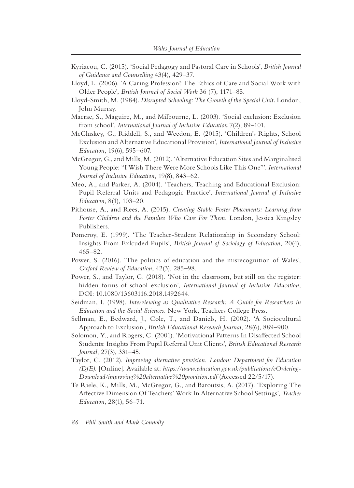- Kyriacou, C. (2015). 'Social Pedagogy and Pastoral Care in Schools', *British Journal of Guidance and Counselling* 43(4), 429–37.
- Lloyd, L. (2006). 'A Caring Profession? The Ethics of Care and Social Work with Older People', *British Journal of Social Work* 36 (7), 1171–85.
- Lloyd- Smith, M. (1984). *Disrupted Schooling: The Growth of the Special Unit.* London, John Murray.
- Macrae, S., Maguire, M., and Milbourne, L. (2003). 'Social exclusion: Exclusion from school', *International Journal of Inclusive Education* 7(2), 89–101.
- McCluskey, G., Riddell, S., and Weedon, E. (2015). 'Children's Rights, School Exclusion and Alternative Educational Provision', *International Journal of Inclusive Education*, 19(6), 595–607.
- McGregor, G., and Mills, M. (2012). 'Alternative Education Sites and Marginalised Young People: "I Wish There Were More Schools Like This One"'. *International Journal of Inclusive Education*, 19(8), 843–62.
- Meo, A., and Parker, A. (2004). 'Teachers, Teaching and Educational Exclusion: Pupil Referral Units and Pedagogic Practice', *International Journal of Inclusive Education*, 8(1), 103–20.
- Pithouse, A., and Rees, A. (2015). *Creating Stable Foster Placements: Learning from Foster Children and the Families Who Care For Them.* London, Jessica Kingsley Publishers.
- Pomeroy, E. (1999). 'The Teacher- Student Relationship in Secondary School: Insights From Exlcuded Pupils', *British Journal of Sociology of Education*, 20(4), 465–82.
- Power, S. (2016). 'The politics of education and the misrecognition of Wales', *Oxford Review of Education*, 42(3), 285–98.
- Power, S., and Taylor, C. (2018). 'Not in the classroom, but still on the register: hidden forms of school exclusion', *International Journal of Inclusive Education*, DOI: 10.1080/13603116.2018.1492644.
- Seidman, I. (1998). *Interviewing as Qualitative Research: A Guide for Researchers in Education and the Social Sciences.* New York, Teachers College Press.
- Sellman, E., Bedward, J., Cole, T., and Daniels, H. (2002). 'A Sociocultural Approach to Exclusion', *British Educational Research Journal*, 28(6), 889–900.
- Solomon, Y., and Rogers, C. (2001). 'Motivational Patterns In Disaffected School Students: Insights From Pupil Referral Unit Clients', *British Educational Research Journal*, 27(3), 331–45.
- Taylor, C. (2012). *Improving alternative provision. London: Department for Education (DfE).* [Online]. Available at: *https://www.education.gov.uk/publications/eOrdering-Download/improving%20alternative%20provision.pdf* (Accessed 22/5/17).
- Te Riele, K., Mills, M., McGregor, G., and Baroutsis, A. (2017). 'Exploring The Affective Dimension Of Teachers' Work In Alternative School Settings', *Teacher Education*, 28(1), 56–71.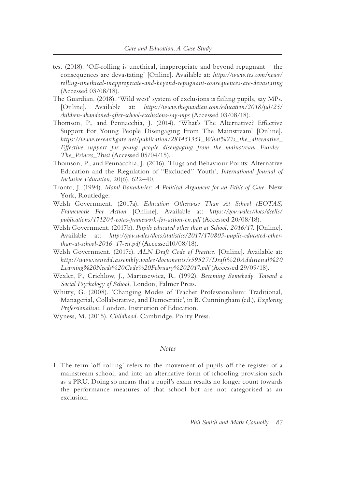- tes. (2018). 'Off- rolling is unethical, inappropriate and beyond repugnant the consequences are devastating' [Online]. Available at: *https://www.tes.com/news / rolling- unethical- inappropriate- and- beyond- repugnant- consequences- are- devastating* (Accessed 03/08/18).
- The Guardian. (2018). 'Wild west' system of exclusions is failing pupils, say MPs. [Online]. Available at: *https://www.theguardian.com/education/2018/jul/25/ children- abandoned- after- school- exclusions- say- mps* (Accessed 03/08/18).
- Thomson, P., and Pennacchia, J. (2014). 'What's The Alternative? Effective Support For Young People Disengaging From The Mainstream' [Online]. *https://www.researchgate.net/publication/281451351\_What%27s\_the\_alternative\_ Effective\_support\_for\_young\_people\_disengaging\_from\_the\_mainstream\_Funder\_ The\_Princes\_Trust* (Accessed 05/04/15).
- Thomson, P., and Pennacchia, J. (2016). 'Hugs and Behaviour Points: Alternative Education and the Regulation of "Excluded" Youth', *International Journal of Inclusive Education*, 20(6), 622–40.
- Tronto, J. (1994). *Moral Boundaries: A Political Argument for an Ethic of Care.* New York, Routledge.
- Welsh Government. (2017a). *Education Otherwise Than At School (EOTAS) Framework For Action* [Online]. Available at: *https://gov.wales/docs/dcells/ publications/171204- eotas- framework- for- action- en.pdf* (Accessed 20/08/18).
- Welsh Government. (2017b). *Pupils educated other than at School, 2016/17.* [Online]. Available at: *http://gov.wales/docs/statistics/2017/170803- pupils- educated- otherthan- at- school-2016–17-en.pdf* (Accessed10/08/18).
- Welsh Government. (2017c). *ALN Draft Code of Practice.* [Online]. Available at: *http://www.senedd.assembly.wales/documents/s59527/Draft%20Additional%20 Learning%20Needs%20Code%20February%202017.pdf* (Accessed 29/09/18).
- Wexler, P., Crichlow, J., Martusewicz, R. (1992). *Becoming Somebody. Toward a Social Psychology of School.* London, Falmer Press.
- Whitty, G. (2008). 'Changing Modes of Teacher Professionalism: Traditional, Managerial, Collaborative, and Democratic', in B. Cunningham (ed.), *Exploring Professionalism.* London, Institution of Education.
- Wyness, M. (2015). *Childhood.* Cambridge, Polity Press.

#### *Notes*

1 The term 'off-rolling' refers to the movement of pupils off the register of a mainstream school, and into an alternative form of schooling provision such as a PRU. Doing so means that a pupil's exam results no longer count towards the performance measures of that school but are not categorised as an exclusion.